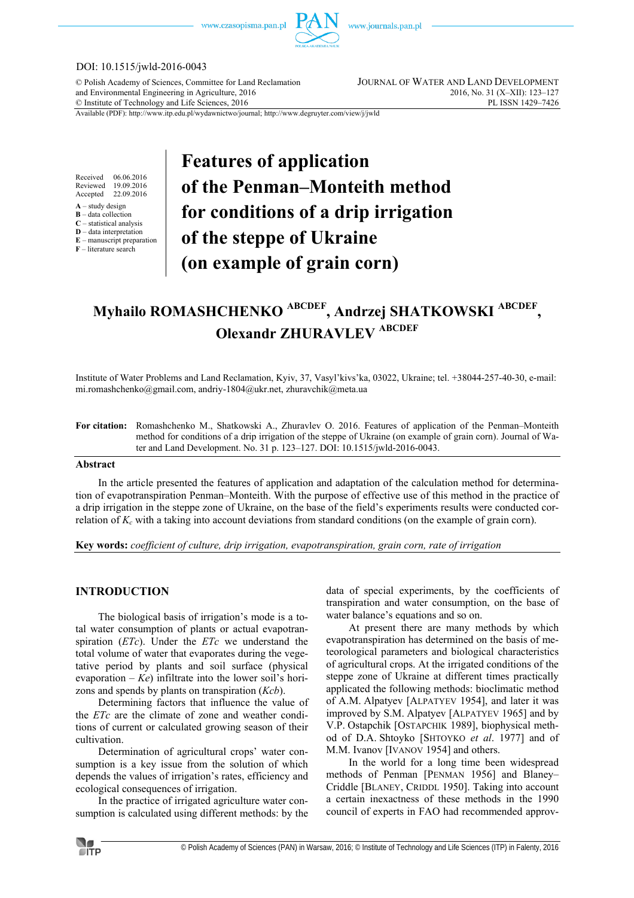www.czasopisma.pan.pl



#### DOI: 10.1515/jwld-2016-0043

© Polish Academy of Sciences, Committee for Land Reclamation JOURNAL OF WATER AND LAND DEVELOPMENT and Environmental Engineering in Agriculture, 2016 2016 2016, No. 31 (X–XII): 123–127<br>
© Institute of Technology and Life Sciences, 2016  $©$  Institute of Technology and Life Sciences, 2016

Available (PDF): http://www.itp.edu.pl/wydawnictwo/journal; http://www.degruyter.com/view/j/jwld

Received 06.06.2016<br>Reviewed 19.09.2016 Reviewed 19.09.2016<br>Accepted 22.09.2016 22.09.2016

 $A -$ study design

**B** – data collection

**C** – statistical analysis **D** – data interpretation

**E** – manuscript preparation

**F** – literature search

# **Features of application of the Penman–Monteith method for conditions of a drip irrigation of the steppe of Ukraine (on example of grain corn)**

# **Myhailo ROMASHCHENKO ABCDEF, Andrzej SHATKOWSKI ABCDEF , Olexandr ZHURAVLEV ABCDEF**

Institute of Water Problems and Land Reclamation, Kyiv, 37, Vasyl'kivs'ka, 03022, Ukraine; tel. +38044-257-40-30, e-mail: mi.romashchenko@gmail.com, andriy-1804@ukr.net, zhuravchik@meta.ua

**For citation:** Romashchenko M., Shatkowski A., Zhuravlev O. 2016. Features of application of the Penman–Monteith method for conditions of a drip irrigation of the steppe of Ukraine (on example of grain corn). Journal of Water and Land Development. No. 31 p. 123–127. DOI: 10.1515/jwld-2016-0043.

#### **Abstract**

In the article presented the features of application and adaptation of the calculation method for determination of evapotranspiration Penman–Monteith. With the purpose of effective use of this method in the practice of a drip irrigation in the steppe zone of Ukraine, on the base of the field's experiments results were conducted correlation of *Kc* with a taking into account deviations from standard conditions (on the example of grain corn).

**Key words:** *coefficient of culture, drip irrigation, evapotranspiration, grain corn, rate of irrigation* 

### **INTRODUCTION**

The biological basis of irrigation's mode is a total water consumption of plants or actual evapotranspiration (*ETc*). Under the *ETс* we understand the total volume of water that evaporates during the vegetative period by plants and soil surface (physical evaporation – *Ke*) infiltrate into the lower soil's horizons and spends by plants on transpiration (*Kcb*).

Determining factors that influence the value of the *ETc* are the climate of zone and weather conditions of current or calculated growing season of their cultivation.

Determination of agricultural crops' water consumption is a key issue from the solution of which depends the values of irrigation's rates, efficiency and ecological consequences of irrigation.

In the practice of irrigated agriculture water consumption is calculated using different methods: by the data of special experiments, by the coefficients of transpiration and water consumption, on the base of water balance's equations and so on.

At present there are many methods by which evapotranspiration has determined on the basis of meteorological parameters and biological characteristics of agricultural crops. At the irrigated conditions of the steppe zone of Ukraine at different times practically applicated the following methods: bioclimatic method of A.M. Alpatyev [ALPATYEV 1954], and later it was improved by S.M. Alpatyev [ALPATYEV 1965] and by V.P. Ostapchik [OSTAPCHIK 1989], biophysical method of D.A. Shtoyko [SHTOYKO *et al*. 1977] and of M.M. Ivanov [IVANOV 1954] and others.

In the world for a long time been widespread methods of Penman [PENMAN 1956] and Blaney– Criddle [BLANEY, CRIDDL 1950]. Taking into account a certain inexactness of these methods in the 1990 council of experts in FAO had recommended approv-

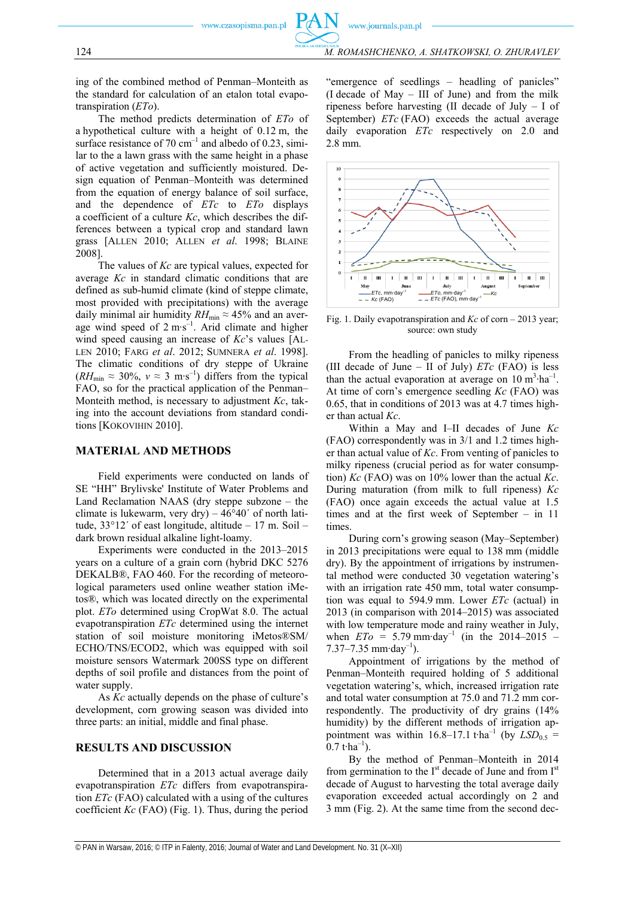ing of the combined method of Penman–Monteith as the standard for calculation of an etalon total evapotranspiration (*ETo*).

The method predicts determination of *ETo* of a hypothetical culture with a height of 0.12 m, the surface resistance of 70  $cm^{-1}$  and albedo of 0.23, similar to the a lawn grass with the same height in a phase of active vegetation and sufficiently moistured. Design equation of Penman–Monteith was determined from the equation of energy balance of soil surface, and the dependence of *ETc* to *ETo* displays a coefficient of a culture *Kc*, which describes the differences between a typical crop and standard lawn grass [ALLEN 2010; ALLEN *et al*. 1998; BLAINE 2008].

The values of *Kc* are typical values, expected for average *Kc* in standard climatic conditions that are defined as sub-humid climate (kind of steppe climate, most provided with precipitations) with the average daily minimal air humidity  $RH_{\text{min}} \approx 45\%$  and an average wind speed of 2 m∙s–1. Arid climate and higher wind speed causing an increase of *Kc*'s values [AL-LEN 2010; FARG *et al*. 2012; SUMNERA *et al*. 1998]. The climatic conditions of dry steppe of Ukraine  $(RH_{\text{min}} \approx 30\%, v \approx 3 \text{ m} \cdot \text{s}^{-1})$  differs from the typical FAO, so for the practical application of the Penman– Monteith method, is necessary to adjustment *Kc*, taking into the account deviations from standard conditions [KOKOVIHIN 2010].

#### **MATERIAL AND METHODS**

Field experiments were conducted on lands of SE "HH" Brylivske' Institute of Water Problems and Land Reclamation NAAS (dry steppe subzone – the climate is lukewarm, very dry) –  $46^{\circ}40'$  of north latitude, 33°12´ of east longitude, altitude – 17 m. Soil – dark brown residual alkaline light-loamy.

Experiments were conducted in the 2013–2015 years on a culture of a grain corn (hybrid DKC 5276 DEKALB®, FAO 460. For the recording of meteorological parameters used online weather station iMetos®, which was located directly on the experimental plot. *ETo* determined using CropWat 8.0. The actual evapotranspiration *ETc* determined using the internet station of soil moisture monitoring iMetos®SM/ ECHO/TNS/ECOD2, which was equipped with soil moisture sensors Watermark 200SS type on different depths of soil profile and distances from the point of water supply.

As *Kc* actually depends on the phase of culture's development, corn growing season was divided into three parts: an initial, middle and final phase.

#### **RESULTS AND DISCUSSION**

Determined that in a 2013 actual average daily evapotranspiration *ETc* differs from evapotranspiration *ETc* (FAO) calculated with a using of the cultures coefficient *Kc* (FAO) (Fig. 1). Thus, during the period "emergence of seedlings – headling of panicles" (I decade of May – III of June) and from the milk ripeness before harvesting (II decade of July – I of September) *ETc* (FAO) exceeds the actual average daily evaporation *ETc* respectively on 2.0 and 2.8 mm.



Fig. 1. Daily evapotranspiration and *Kc* of corn – 2013 year; source: own study

From the headling of panicles to milky ripeness (ІІІ decade of June – ІІ of July) *ЕТc* (FАО) is less than the actual evaporation at average on  $10 \text{ m}^3 \cdot \text{ha}^{-1}$ . At time of corn's emergence seedling *Kc* (FAO) was 0.65, that in conditions of 2013 was at 4.7 times higher than actual *Kc*.

Within a May and I–II decades of June *Kc* (FАО) correspondently was in 3/1 and 1.2 times higher than actual value of *Kc*. From venting of panicles to milky ripeness (crucial period as for water consumption) *Kc* (FAO) was on 10% lower than the actual *Kc*. During maturation (from milk to full ripeness) *Kc* (FAO) once again exceeds the actual value at 1.5 times and at the first week of September – in 11 times.

During corn's growing season (May–September) in 2013 precipitations were equal to 138 mm (middle dry). By the appointment of irrigations by instrumental method were conducted 30 vegetation watering's with an irrigation rate 450 mm, total water consumption was equal to 594.9 mm. Lower *ЕТc* (actual) in 2013 (in comparison with 2014–2015) was associated with low temperature mode and rainy weather in July, when  $ETo = 5.79$  mm⋅day<sup>-1</sup> (in the 2014–2015 –  $7.37-7.35$  mm⋅day<sup>-1</sup>).

Appointment of irrigations by the method of Penman–Monteith required holding of 5 additional vegetation watering's, which, increased irrigation rate and total water consumption at 75.0 and 71.2 mm correspondently. The productivity of dry grains (14% humidity) by the different methods of irrigation appointment was within 16.8–17.1 t⋅ha<sup>-1</sup> (by  $LSD_{0.5}$  =  $0.7$  t⋅ha<sup>-1</sup>).

By the method of Penman–Monteith in 2014 from germination to the  $I<sup>st</sup>$  decade of June and from  $I<sup>st</sup>$ decade of August to harvesting the total average daily evaporation exceeded actual accordingly on 2 and 3 mm (Fig. 2). At the same time from the second dec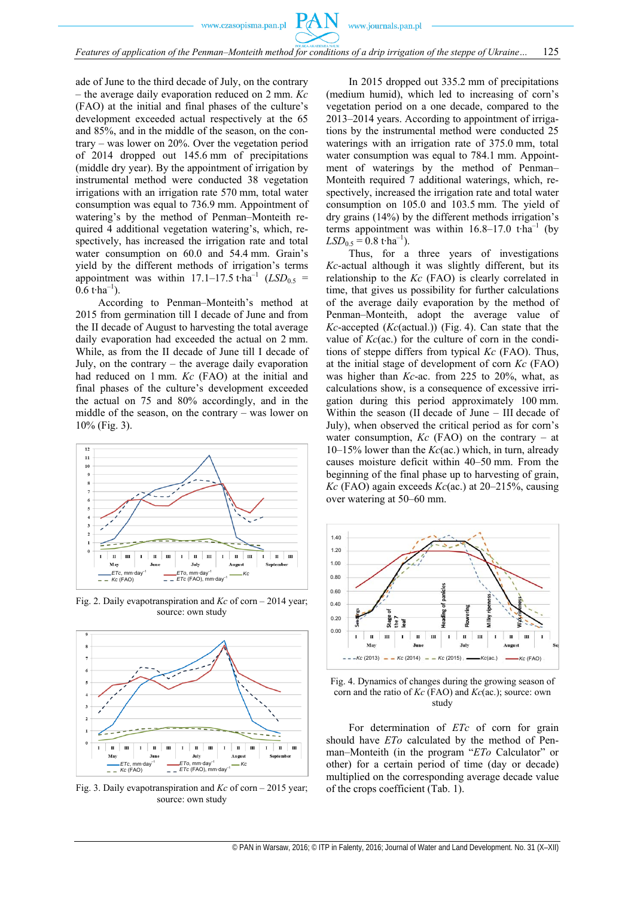www.czasopisma.pan.pl

ade of June to the third decade of July, on the contrary – the average daily evaporation reduced on 2 mm. *Kc* (FAO) at the initial and final phases of the culture's development exceeded actual respectively at the 65 and 85%, and in the middle of the season, on the contrary – was lower on 20%. Over the vegetation period of 2014 dropped out 145.6 mm of precipitations (middle dry year). By the appointment of irrigation by instrumental method were conducted 38 vegetation irrigations with an irrigation rate 570 mm, total water consumption was equal to 736.9 mm. Appointment of watering's by the method of Penman–Monteith required 4 additional vegetation watering's, which, respectively, has increased the irrigation rate and total water consumption on 60.0 and 54.4 mm. Grain's yield by the different methods of irrigation's terms appointment was within 17.1–17.5 t⋅ha<sup>-1</sup>  $(LSD<sub>0.5</sub>$  =  $0.6$  t⋅ha<sup>-1</sup>).

According to Penman–Monteith's method at 2015 from germination till I decade of June and from the II decade of August to harvesting the total average daily evaporation had exceeded the actual on 2 mm. While, as from the II decade of June till I decade of July, on the contrary – the average daily evaporation had reduced on 1 mm. *Kc* (FAO) at the initial and final phases of the culture's development exceeded the actual on 75 and 80% accordingly, and in the middle of the season, on the contrary – was lower on 10% (Fig. 3).



Fig. 2. Daily evapotranspiration and *Kc* of corn – 2014 year; source: own study



Fig. 3. Daily evapotranspiration and *Kc* of corn – 2015 year; source: own study

In 2015 dropped out 335.2 mm of precipitations (medium humid), which led to increasing of corn's vegetation period on a one decade, compared to the 2013–2014 years. According to appointment of irrigations by the instrumental method were conducted 25 waterings with an irrigation rate of 375.0 mm, total water consumption was equal to 784.1 mm. Appointment of waterings by the method of Penman– Monteith required 7 additional waterings, which, respectively, increased the irrigation rate and total water consumption on 105.0 and 103.5 mm. The yield of dry grains (14%) by the different methods irrigation's terms appointment was within 16.8–17.0 t⋅ha<sup>-1</sup> (by  $LSD<sub>0.5</sub> = 0.8$  t⋅ha<sup>-1</sup>).

Thus, for a three years of investigations *Kc*-actual although it was slightly different, but its relationship to the *Kc* (FAO) is clearly correlated in time, that gives us possibility for further calculations of the average daily evaporation by the method of Penman–Monteith, adopt the average value of *Kc*-accepted (*Kc*(actual.)) (Fig. 4). Can state that the value of *Kc*(ac.) for the culture of corn in the conditions of steppe differs from typical *Kc* (FAO). Thus, at the initial stage of development of corn *Kc* (FAO) was higher than *Kc*-ac. from 225 to 20%, what, as calculations show, is a consequence of excessive irrigation during this period approximately 100 mm. Within the season (II decade of June – III decade of July), when observed the critical period as for corn's water consumption,  $Kc$  (FAO) on the contrary – at 10–15% lower than the *Kc*(ac.) which, in turn, already causes moisture deficit within 40–50 mm. From the beginning of the final phase up to harvesting of grain, *Kc* (FAO) again exceeds *Kc*(ac.) at 20–215%, causing over watering at 50–60 mm.



Fig. 4. Dynamics of changes during the growing season of corn and the ratio of *Kc* (FAO) and *Kc*(ac.); source: own study

For determination of *ETc* of corn for grain should have *ETo* calculated by the method of Penman–Monteith (in the program "*ETo* Calculator" or other) for a certain period of time (day or decade) multiplied on the corresponding average decade value of the crops coefficient (Tab. 1).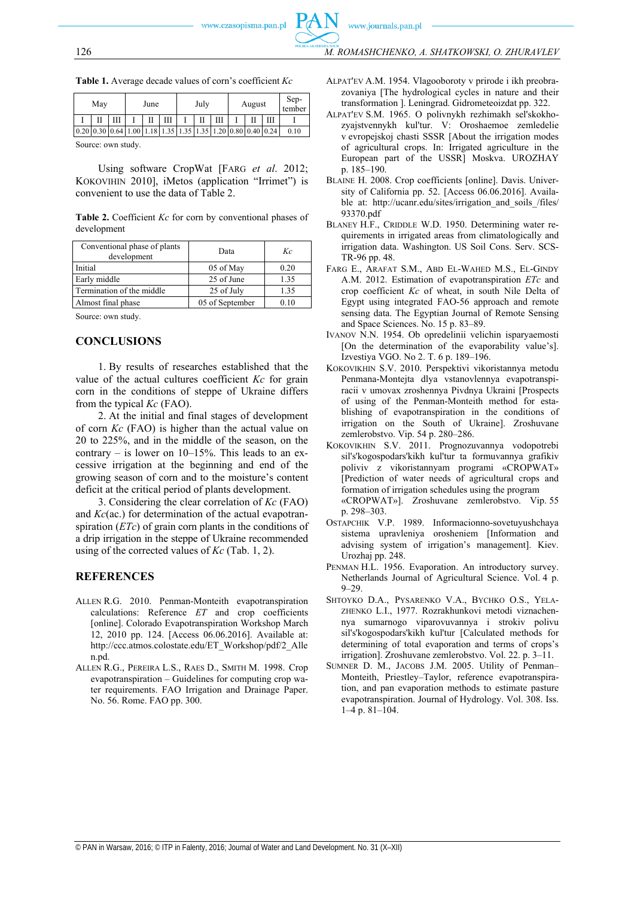| Table 1. Average decade values of corn's coefficient Kc |
|---------------------------------------------------------|
|---------------------------------------------------------|

|  | May                    |  | June |  |                                         | July |  |  | August |  |  | Sep-<br>tember |
|--|------------------------|--|------|--|-----------------------------------------|------|--|--|--------|--|--|----------------|
|  |                        |  |      |  | Ш                                       |      |  |  |        |  |  |                |
|  | $0.20 \, 0.30 \, 0.64$ |  | 1.00 |  | 1.18 1.35 1.35 1.35 1.20 0.80 0.40 0.24 |      |  |  |        |  |  | 0.10           |

Source: own study.

Using software CropWat [FARG *et al*. 2012; KOKOVIHIN 2010], iMetos (application "Irrimet") is convenient to use the data of Table 2.

**Table 2.** Coefficient *Kc* for corn by conventional phases of development

| Conventional phase of plants<br>development | Data            | Kс    |
|---------------------------------------------|-----------------|-------|
| Initial                                     | 05 of May       | 0.20  |
| Early middle                                | 25 of June      | 1.35  |
| Termination of the middle                   | 25 of July      | 1.35  |
| Almost final phase                          | 05 of September | 0 1 O |

Source: own study.

#### **CONCLUSIONS**

1. By results of researches established that the value of the actual cultures coefficient *Kc* for grain corn in the conditions of steppe of Ukraine differs from the typical *Kc* (FAO).

2. At the initial and final stages of development of corn *Kc* (FAO) is higher than the actual value on 20 to 225%, and in the middle of the season, on the contrary – is lower on  $10-15%$ . This leads to an excessive irrigation at the beginning and end of the growing season of corn and to the moisture's content deficit at the critical period of plants development.

3. Considering the clear correlation of *Kc* (FAO) and *Kc*(ac.) for determination of the actual evapotranspiration (*ETc*) of grain corn plants in the conditions of a drip irrigation in the steppe of Ukraine recommended using of the corrected values of *Kc* (Tab. 1, 2).

#### **REFERENCES**

- ALLEN R.G. 2010. Penman-Monteith evapotranspiration calculations: Reference *ET* and crop coefficients [online]. Colorado Evapotranspiration Workshop March 12, 2010 pp. 124. [Access 06.06.2016]. Available at: http://ccc.atmos.colostate.edu/ET\_Workshop/pdf/2\_Alle n.pd.
- ALLEN R.G., PEREIRA L.S., RAES D., SMITH M. 1998. Crop evapotranspiration – Guidelines for computing crop water requirements. FAO Irrigation and Drainage Paper. No. 56. Rome. FAO pp. 300.
- ALPAT'EV A.M. 1954. Vlagooboroty v prirode i ikh preobrazovaniya [The hydrological cycles in nature and their transformation ]. Leningrad. Gidrometeoizdat pp. 322.
- ALPAT'EV S.М. 1965. O polivnykh rezhimakh sel'skokhozyajstvennykh kul'tur. V: Oroshaemoe zemledelie v evropejskoj chasti SSSR [About the irrigation modes of agricultural crops. In: Irrigated agriculture in the European part of the USSR] Мoskva. UROZHAY p. 185–190.
- BLAINE H. 2008. Crop coefficients [online]. Davis. University of California pp. 52. [Access 06.06.2016]. Available at: http://ucanr.edu/sites/irrigation and soils /files/ 93370.pdf
- BLANEY H.F., CRIDDLE W.D. 1950. Determining water requirements in irrigated areas from climatologically and irrigation data. Washington. US Soil Cons. Serv. SCS-TR-96 pp. 48.
- FARG E., ARAFAT S.M., ABD EL-WAHED M.S., EL-GINDY A.M. 2012. Estimation of evapotranspiration *ETc* and crop coefficient *Kc* of wheat, in south Nile Delta of Egypt using integrated FAO-56 approach and remote sensing data. The Egyptian Journal of Remote Sensing and Space Sciences. No. 15 p. 83–89.
- IVANOV N.N. 1954. Ob opredelinii velichin isparyaemosti [On the determination of the evaporability value's]. Izvestiya VGO. No 2. Т. 6 p. 189–196.
- KOKOVІKHІN S.V. 2010. Perspektivi vikoristannya metodu Penmana-Montejta dlya vstanovlennya evapotranspіracіi v umovax zroshennya Pіvdnya Ukraini [Prospects of using of the Penman-Monteith method for establishing of evapotranspiration in the conditions of irrigation on the South of Ukraine]. Zroshuvane zemlerobstvo. Vip. 54 p. 280–286.
- KOKOVІKHІN S.V. 2011. Prognozuvannya vodopotrebi sіl's'kogospodars'kikh kul'tur ta formuvannya grafіkіv polivіv z vikoristannyam programi «CROPWAT» [Prediction of water needs of agricultural crops and formation of irrigation schedules using the program «CROPWAT»]. Zroshuvane zemlerobstvo. Vip. 55 p. 298–303.
- OSTAPCHIK V.P. 1989. Informacionno-sovetuyushchaya sistema upravleniya orosheniem [Information and advising system of irrigation's management]. Kiev. Urozhaj pp. 248.
- PENMAN H.L. 1956. Evaporation. An introductory survey. Netherlands Journal of Agricultural Science. Vol. 4 p. 9–29.
- SHTOYKO D.A., PYSARENKO V.A., BYCHKO O.S., YELA-ZHENKO L.I., 1977. Rozrakhunkovі metodi viznachennya sumarnogo viparovuvannya і strokіv polivu sіl's'kogospodars'kikh kul'tur [Calculated methods for determining of total evaporation and terms of crops's irrigation]. Zroshuvane zemlerobstvo. Vol. 22. p. 3–11.
- SUMNER D. M., JACOBS J.M. 2005. Utility of Penman– Monteith, Priestley–Taylor, reference evapotranspiration, and pan evaporation methods to estimate pasture evapotranspiration. Journal of Hydrology. Vol. 308. Iss.  $1-\overline{4}$  p.  $81-\overline{1}04$ .